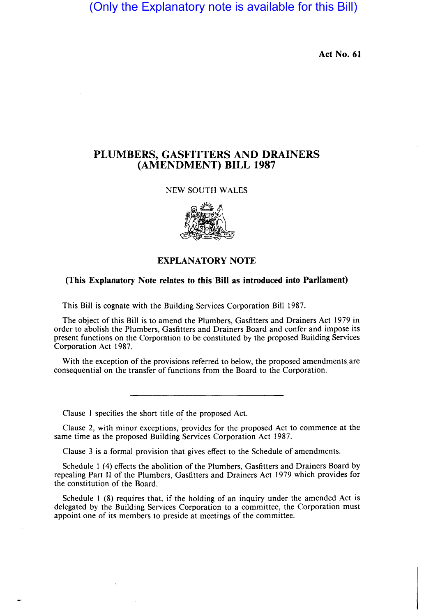(Only the Explanatory note is available for this Bill)

Act No. 61

# PLUMBERS, GASFITTERS AND DRAINERS (AMENDMENT) BILL 1987

#### NEW SOUTH WALES



### EXPLANATORY NOTE

### (This Explanatory Note relates to this·BiII as introduced into Parliament)

This Bill is cognate with the Building Services Corporation Bill 1987.

The object of this Bill is to amend the Plumbers, Gasfitters and Drainers Act 1979 in order to abolish the Plumbers, Gasfitters and Drainers Board and confer and impose its present functions on the Corporation to be constituted by the proposed Building Services Corporation Act 1987.

With the exception of the provisions referred to below, the proposed amendments are consequential on the transfer of functions from the Board to the Corporation.

Clause 1 specifies the short title of the proposed Act.

Clause 2, with minor exceptions, provides for the proposed Act to commence at the same time as the proposed Building Services Corporation Act 1987.

Clause 3 is a formal provision that gives effect to the Schedule of amendments.

Schedule I (4) effects the abolition of the Plumbers, Gasfitters and Drainers Board by repealing Part 11 of the Plumbers, Gasfitters and Drainers Act 1979 which provides for the constitution of the Board.

Schedule 1 (8) requires that, if the holding of an inquiry under the amended Act is delegated by the Building Services Corporation to a committee, the Corporation must appoint one of its members to preside at meetings of the committee.